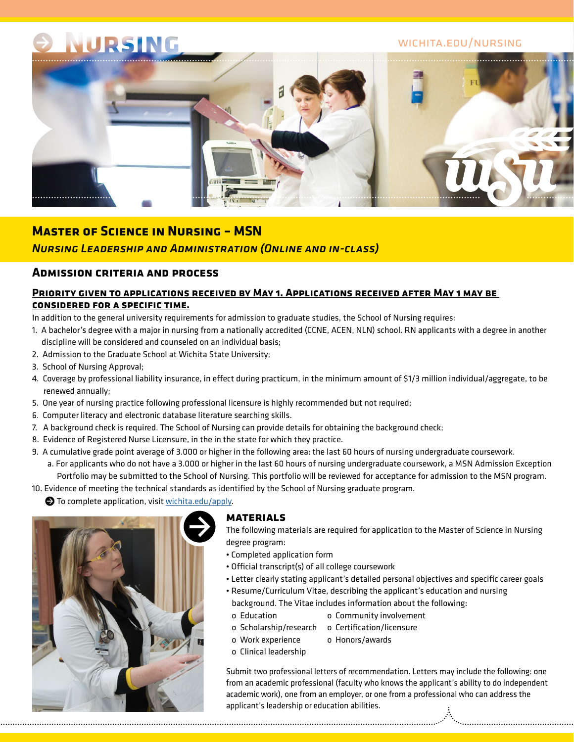# NURSING

# wichita.edu/nursing



# **Master of Science in Nursing – MSN**

# *Nursing Leadership and Administration (Online and in-class)*

# **Admission criteria and process**

### **Priority given to applications received by May 1. Applications received after May 1 may be considered for a specific time.**

In addition to the general university requirements for admission to graduate studies, the School of Nursing requires:

- 1. A bachelor's degree with a major in nursing from a nationally accredited (CCNE, ACEN, NLN) school. RN applicants with a degree in another discipline will be considered and counseled on an individual basis;
- 2. Admission to the Graduate School at Wichita State University;
- 3. School of Nursing Approval;
- 4. Coverage by professional liability insurance, in effect during practicum, in the minimum amount of \$1/3 million individual/aggregate, to be renewed annually;
- 5. One year of nursing practice following professional licensure is highly recommended but not required;
- 6. Computer literacy and electronic database literature searching skills.
- 7. A background check is required. The School of Nursing can provide details for obtaining the background check;
- 8. Evidence of Registered Nurse Licensure, in the in the state for which they practice.
- 9. A cumulative grade point average of 3.000 or higher in the following area: the last 60 hours of nursing undergraduate coursework.
	- a. For applicants who do not have a 3.000 or higher in the last 60 hours of nursing undergraduate coursework, a MSN Admission Exception Portfolio may be submitted to the School of Nursing. This portfolio will be reviewed for acceptance for admission to the MSN program.
- 10. Evidence of meeting the technical standards as identified by the School of Nursing graduate program.

 $\bullet$  To complete application, visit [wichita.edu/apply.](http://wsu-info.org/go/split.htm)



#### **materials**

The following materials are required for application to the Master of Science in Nursing degree program:

- Completed application form
- Official transcript(s) of all college coursework
- Letter clearly stating applicant's detailed personal objectives and specific career goals
- Resume/Curriculum Vitae, describing the applicant's education and nursing background. The Vitae includes information about the following:
	- o Education o Community involvement
	- o Scholarship/research o Certification/licensure
	- o Work experience o Honors/awards
	- o Clinical leadership

Submit two professional letters of recommendation. Letters may include the following: one from an academic professional (faculty who knows the applicant's ability to do independent academic work), one from an employer, or one from a professional who can address the applicant's leadership or education abilities.